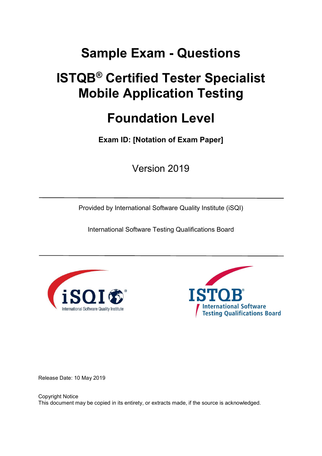# Sample Exam - Questions

# ISTQB® Certified Tester Specialist Mobile Application Testing

## Foundation Level

Exam ID: [Notation of Exam Paper]

Version 2019

Provided by International Software Quality Institute (iSQI)

International Software Testing Qualifications Board





Release Date: 10 May 2019

Copyright Notice This document may be copied in its entirety, or extracts made, if the source is acknowledged.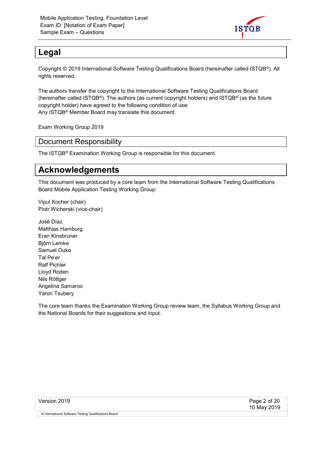

#### Legal

Copyright © 2019 International Software Testing Qualifications Board (hereinafter called ISTQB®). All rights reserved.

The authors transfer the copyright to the International Software Testing Qualifications Board (hereinafter called ISTQB®). The authors (as current copyright holders) and ISTQB® (as the future copyright holder) have agreed to the following condition of use: Any ISTQB® Member Board may translate this document.

Exam Working Group 2019

Document Responsibility

The ISTQB® Examination Working Group is responsible for this document.

### Acknowledgements

This document was produced by a core team from the International Software Testing Qualifications Board Mobile Application Testing Working Group:

Vipul Kocher (chair) Piotr Wicherski (vice-chair)

José Díaz Matthias Hamburg Eran Kinsbruner Björn Lemke Samuel Ouko Tal Pe'er Ralf Pichler Lloyd Roden Nils Röttger Angelina Samaroo Yaron Tsubery

The core team thanks the Examination Working Group review team, the Syllabus Working Group and the National Boards for their suggestions and input.

| Version 2019 |  |
|--------------|--|
|--------------|--|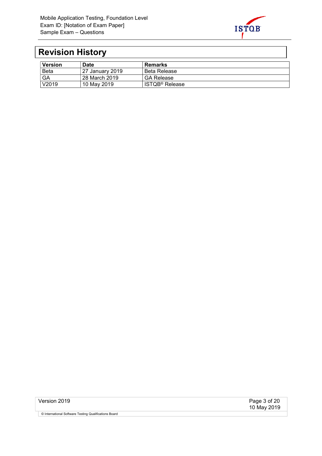

## Revision History

| <b>Version</b> | <b>Date</b>     | Remarks                    |
|----------------|-----------------|----------------------------|
| <b>Beta</b>    | 27 January 2019 | <b>Beta Release</b>        |
| GA             | 28 March 2019   | <b>GA Release</b>          |
| V2019          | 10 May 2019     | ISTQB <sup>®</sup> Release |

Version 2019 Page 3 of 20 10 May 2019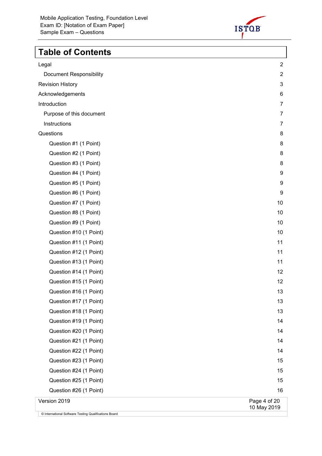

## Table of Contents

| Legal                          | $\overline{2}$              |
|--------------------------------|-----------------------------|
| <b>Document Responsibility</b> | $\overline{2}$              |
| <b>Revision History</b>        | 3                           |
| Acknowledgements               | 6                           |
| Introduction                   | $\overline{7}$              |
| Purpose of this document       | 7                           |
| Instructions                   | 7                           |
| Questions                      | 8                           |
| Question #1 (1 Point)          | 8                           |
| Question #2 (1 Point)          | 8                           |
| Question #3 (1 Point)          | 8                           |
| Question #4 (1 Point)          | 9                           |
| Question #5 (1 Point)          | 9                           |
| Question #6 (1 Point)          | 9                           |
| Question #7 (1 Point)          | 10                          |
| Question #8 (1 Point)          | 10                          |
| Question #9 (1 Point)          | 10                          |
| Question #10 (1 Point)         | 10                          |
| Question #11 (1 Point)         | 11                          |
| Question #12 (1 Point)         | 11                          |
| Question #13 (1 Point)         | 11                          |
| Question #14 (1 Point)         | 12                          |
| Question #15 (1 Point)         | 12                          |
| Question #16 (1 Point)         | 13                          |
| Question #17 (1 Point)         | 13                          |
| Question #18 (1 Point)         | 13                          |
| Question #19 (1 Point)         | 14                          |
| Question #20 (1 Point)         | 14                          |
| Question #21 (1 Point)         | 14                          |
| Question #22 (1 Point)         | 14                          |
| Question #23 (1 Point)         | 15                          |
| Question #24 (1 Point)         | 15                          |
| Question #25 (1 Point)         | 15                          |
| Question #26 (1 Point)         | 16                          |
| Version 2019                   | Page 4 of 20<br>10 May 2019 |
|                                |                             |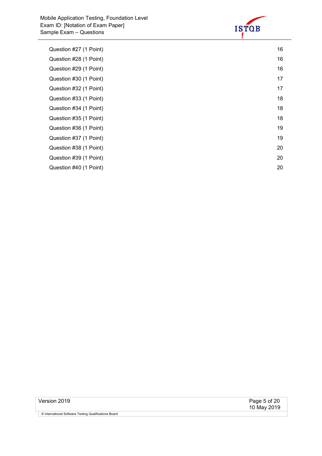

| Question #27 (1 Point) | 16 |
|------------------------|----|
| Question #28 (1 Point) | 16 |
| Question #29 (1 Point) | 16 |
| Question #30 (1 Point) | 17 |
| Question #32 (1 Point) | 17 |
| Question #33 (1 Point) | 18 |
| Question #34 (1 Point) | 18 |
| Question #35 (1 Point) | 18 |
| Question #36 (1 Point) | 19 |
| Question #37 (1 Point) | 19 |
| Question #38 (1 Point) | 20 |
| Question #39 (1 Point) | 20 |
| Question #40 (1 Point) | 20 |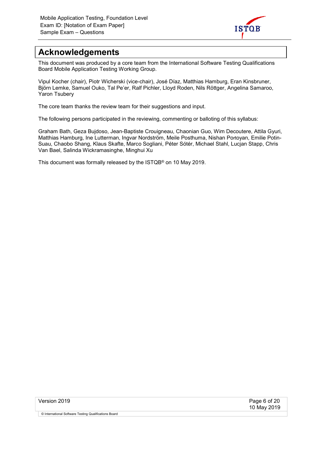

### Acknowledgements

This document was produced by a core team from the International Software Testing Qualifications Board Mobile Application Testing Working Group.

Vipul Kocher (chair), Piotr Wicherski (vice-chair), José Díaz, Matthias Hamburg, Eran Kinsbruner, Björn Lemke, Samuel Ouko, Tal Pe'er, Ralf Pichler, Lloyd Roden, Nils Röttger, Angelina Samaroo, Yaron Tsubery

The core team thanks the review team for their suggestions and input.

The following persons participated in the reviewing, commenting or balloting of this syllabus:

Graham Bath, Geza Bujdoso, Jean-Baptiste Crouigneau, Chaonian Guo, Wim Decoutere, Attila Gyuri, Matthias Hamburg, Ine Lutterman, Ingvar Nordström, Meile Posthuma, Nishan Portoyan, Emilie Potin-Suau, Chaobo Shang, Klaus Skafte, Marco Sogliani, Péter Sótér, Michael Stahl, Lucjan Stapp, Chris Van Bael, Salinda Wickramasinghe, Minghui Xu

This document was formally released by the ISTQB® on 10 May 2019.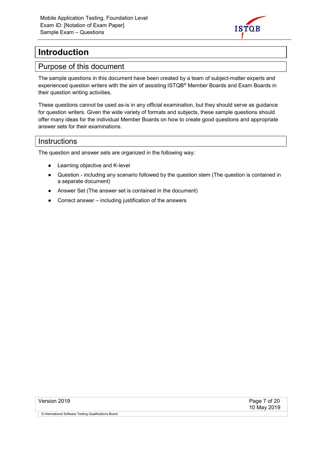

### Introduction

#### Purpose of this document

The sample questions in this document have been created by a team of subject-matter experts and experienced question writers with the aim of assisting ISTQB® Member Boards and Exam Boards in their question writing activities.

These questions cannot be used as-is in any official examination, but they should serve as guidance for question writers. Given the wide variety of formats and subjects, these sample questions should offer many ideas for the individual Member Boards on how to create good questions and appropriate answer sets for their examinations.

#### **Instructions**

The question and answer sets are organized in the following way:

- Learning objective and K-level
- Question including any scenario followed by the question stem (The question is contained in a separate document)
- Answer Set (The answer set is contained in the document)
- Correct answer including justification of the answers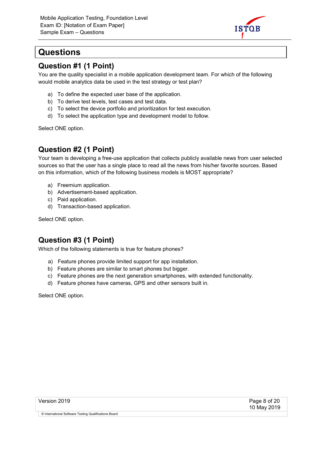

### **Questions**

#### Question #1 (1 Point)

You are the quality specialist in a mobile application development team. For which of the following would mobile analytics data be used in the test strategy or test plan?

- a) To define the expected user base of the application.
- b) To derive test levels, test cases and test data.
- c) To select the device portfolio and prioritization for test execution.
- d) To select the application type and development model to follow.

Select ONE option.

#### Question #2 (1 Point)

Your team is developing a free-use application that collects publicly available news from user selected sources so that the user has a single place to read all the news from his/her favorite sources. Based on this information, which of the following business models is MOST appropriate?

- a) Freemium application.
- b) Advertisement-based application.
- c) Paid application.
- d) Transaction-based application.

Select ONE option.

#### Question #3 (1 Point)

Which of the following statements is true for feature phones?

- a) Feature phones provide limited support for app installation.
- b) Feature phones are similar to smart phones but bigger.
- c) Feature phones are the next generation smartphones, with extended functionality.
- d) Feature phones have cameras, GPS and other sensors built in.

Select ONE option.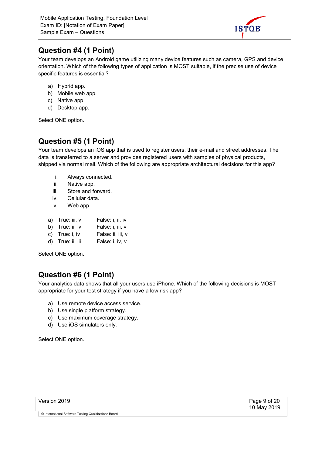![](_page_8_Picture_1.jpeg)

#### Question #4 (1 Point)

Your team develops an Android game utilizing many device features such as camera, GPS and device orientation. Which of the following types of application is MOST suitable, if the precise use of device specific features is essential?

- a) Hybrid app.
- b) Mobile web app.
- c) Native app.
- d) Desktop app.

Select ONE option.

#### Question #5 (1 Point)

Your team develops an iOS app that is used to register users, their e-mail and street addresses. The data is transferred to a server and provides registered users with samples of physical products, shipped via normal mail. Which of the following are appropriate architectural decisions for this app?

- i. Always connected.
- ii. Native app.
- iii. Store and forward.
- iv. Cellular data.
- v. Web app.

|  | a) True: iii, v | False: i, ii, iv |
|--|-----------------|------------------|
|--|-----------------|------------------|

- b) True: ii, iv False: i, iii, v
- c) True: i, iv False: ii, iii, v
- d) True: ii, iii False: i, iv, v

Select ONE option.

#### Question #6 (1 Point)

Your analytics data shows that all your users use iPhone. Which of the following decisions is MOST appropriate for your test strategy if you have a low risk app?

- a) Use remote device access service.
- b) Use single platform strategy.
- c) Use maximum coverage strategy.
- d) Use iOS simulators only.

Select ONE option.

| Version 2019 |  |
|--------------|--|
|--------------|--|

Page 9 of 20 10 May 2019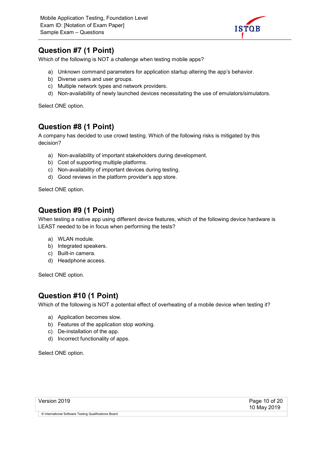![](_page_9_Picture_1.jpeg)

#### Question #7 (1 Point)

Which of the following is NOT a challenge when testing mobile apps?

- a) Unknown command parameters for application startup altering the app's behavior.
- b) Diverse users and user groups.
- c) Multiple network types and network providers.
- d) Non-availability of newly launched devices necessitating the use of emulators/simulators.

Select ONE option.

#### Question #8 (1 Point)

A company has decided to use crowd testing. Which of the following risks is mitigated by this decision?

- a) Non-availability of important stakeholders during development.
- b) Cost of supporting multiple platforms.
- c) Non-availability of important devices during testing.
- d) Good reviews in the platform provider's app store.

Select ONE option.

#### Question #9 (1 Point)

When testing a native app using different device features, which of the following device hardware is LEAST needed to be in focus when performing the tests?

- a) WLAN module.
- b) Integrated speakers.
- c) Built-in camera.
- d) Headphone access.

Select ONE option.

#### Question #10 (1 Point)

Which of the following is NOT a potential effect of overheating of a mobile device when testing it?

- a) Application becomes slow.
- b) Features of the application stop working.
- c) De-installation of the app.
- d) Incorrect functionality of apps.

Select ONE option.

| Version 2019 |  |
|--------------|--|
|--------------|--|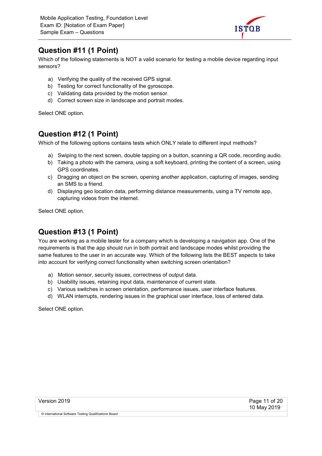![](_page_10_Picture_1.jpeg)

#### Question #11 (1 Point)

Which of the following statements is NOT a valid scenario for testing a mobile device regarding input sensors?

- a) Verifying the quality of the received GPS signal.
- b) Testing for correct functionality of the gyroscope.
- c) Validating data provided by the motion sensor.
- d) Correct screen size in landscape and portrait modes.

Select ONE option.

#### Question #12 (1 Point)

Which of the following options contains tests which ONLY relate to different input methods?

- a) Swiping to the next screen, double tapping on a button, scanning a QR code, recording audio.
- b) Taking a photo with the camera, using a soft keyboard, printing the content of a screen, using GPS coordinates.
- c) Dragging an object on the screen, opening another application, capturing of images, sending an SMS to a friend.
- d) Displaying geo location data, performing distance measurements, using a TV remote app, capturing videos from the internet.

Select ONE option.

#### Question #13 (1 Point)

You are working as a mobile tester for a company which is developing a navigation app. One of the requirements is that the app should run in both portrait and landscape modes whilst providing the same features to the user in an accurate way. Which of the following lists the BEST aspects to take into account for verifying correct functionality when switching screen orientation?

- a) Motion sensor, security issues, correctness of output data.
- b) Usability issues, retaining input data, maintenance of current state.
- c) Various switches in screen orientation, performance issues, user interface features.
- d) WLAN interrupts, rendering issues in the graphical user interface, loss of entered data.

Select ONE option.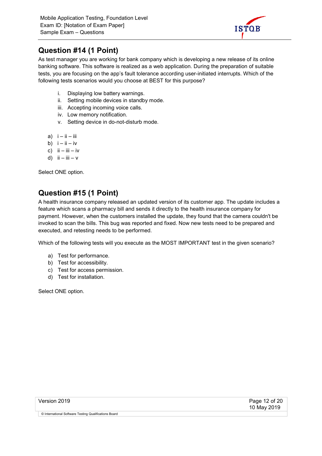![](_page_11_Picture_1.jpeg)

#### Question #14 (1 Point)

As test manager you are working for bank company which is developing a new release of its online banking software. This software is realized as a web application. During the preparation of suitable tests, you are focusing on the app's fault tolerance according user-initiated interrupts. Which of the following tests scenarios would you choose at BEST for this purpose?

- i. Displaying low battery warnings.
- ii. Setting mobile devices in standby mode.
- iii. Accepting incoming voice calls.
- iv. Low memory notification.
- v. Setting device in do-not-disturb mode.
- a)  $i ii iii$
- b)  $i ii iv$
- c)  $\mathbf{i} \mathbf{i} \mathbf{i} \mathbf{ii} \mathbf{i} \mathbf{v}$
- d)  $ii iii v$

Select ONE option.

#### Question #15 (1 Point)

A health insurance company released an updated version of its customer app. The update includes a feature which scans a pharmacy bill and sends it directly to the health insurance company for payment. However, when the customers installed the update, they found that the camera couldn't be invoked to scan the bills. This bug was reported and fixed. Now new tests need to be prepared and executed, and retesting needs to be performed.

Which of the following tests will you execute as the MOST IMPORTANT test in the given scenario?

- a) Test for performance.
- b) Test for accessibility.
- c) Test for access permission.
- d) Test for installation.

Select ONE option.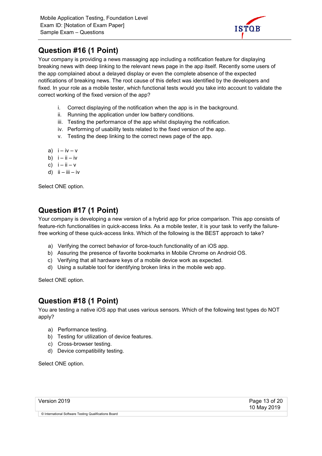![](_page_12_Picture_1.jpeg)

#### Question #16 (1 Point)

Your company is providing a news massaging app including a notification feature for displaying breaking news with deep linking to the relevant news page in the app itself. Recently some users of the app complained about a delayed display or even the complete absence of the expected notifications of breaking news. The root cause of this defect was identified by the developers and fixed. In your role as a mobile tester, which functional tests would you take into account to validate the correct working of the fixed version of the app?

- i. Correct displaying of the notification when the app is in the background.
- ii. Running the application under low battery conditions.
- iii. Testing the performance of the app whilst displaying the notification.
- iv. Performing of usability tests related to the fixed version of the app.
- v. Testing the deep linking to the correct news page of the app.
- a)  $i iv v$
- b)  $i ii iv$
- c)  $i ii v$
- d)  $ii iii iv$

Select ONE option.

#### Question #17 (1 Point)

Your company is developing a new version of a hybrid app for price comparison. This app consists of feature-rich functionalities in quick-access links. As a mobile tester, it is your task to verify the failurefree working of these quick-access links. Which of the following is the BEST approach to take?

- a) Verifying the correct behavior of force-touch functionality of an iOS app.
- b) Assuring the presence of favorite bookmarks in Mobile Chrome on Android OS.
- c) Verifying that all hardware keys of a mobile device work as expected.
- d) Using a suitable tool for identifying broken links in the mobile web app.

Select ONE option.

#### Question #18 (1 Point)

You are testing a native iOS app that uses various sensors. Which of the following test types do NOT apply?

- a) Performance testing.
- b) Testing for utilization of device features.
- c) Cross-browser testing.
- d) Device compatibility testing.

Select ONE option.

| Version 2019 |  |
|--------------|--|
|--------------|--|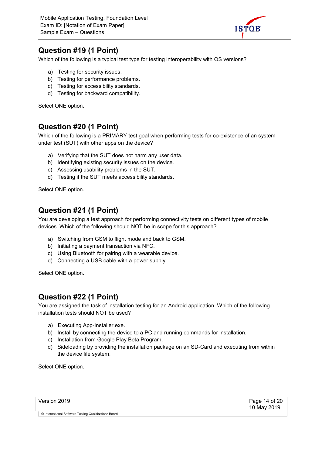![](_page_13_Picture_1.jpeg)

#### Question #19 (1 Point)

Which of the following is a typical test type for testing interoperability with OS versions?

- a) Testing for security issues.
- b) Testing for performance problems.
- c) Testing for accessibility standards.
- d) Testing for backward compatibility.

Select ONE option.

#### Question #20 (1 Point)

Which of the following is a PRIMARY test goal when performing tests for co-existence of an system under test (SUT) with other apps on the device?

- a) Verifying that the SUT does not harm any user data.
- b) Identifying existing security issues on the device.
- c) Assessing usability problems in the SUT.
- d) Testing if the SUT meets accessibility standards.

Select ONE option.

#### Question #21 (1 Point)

You are developing a test approach for performing connectivity tests on different types of mobile devices. Which of the following should NOT be in scope for this approach?

- a) Switching from GSM to flight mode and back to GSM.
- b) Initiating a payment transaction via NFC.
- c) Using Bluetooth for pairing with a wearable device.
- d) Connecting a USB cable with a power supply.

Select ONE option.

#### Question #22 (1 Point)

You are assigned the task of installation testing for an Android application. Which of the following installation tests should NOT be used?

- a) Executing App-Installer.exe.
- b) Install by connecting the device to a PC and running commands for installation.
- c) Installation from Google Play Beta Program.
- d) Sideloading by providing the installation package on an SD-Card and executing from within the device file system.

Select ONE option.

| Version 2019                                          | Page 14 of 20<br>10 May 2019 |
|-------------------------------------------------------|------------------------------|
| © International Software Testing Qualifications Board |                              |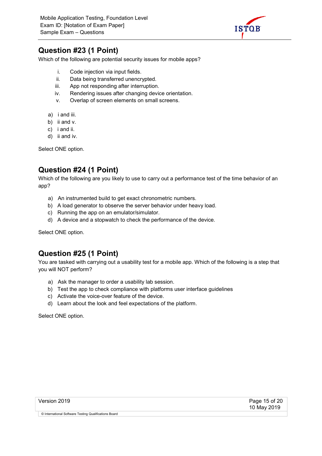![](_page_14_Picture_1.jpeg)

#### Question #23 (1 Point)

Which of the following are potential security issues for mobile apps?

- i. Code injection via input fields.
- ii. Data being transferred unencrypted.
- iii. App not responding after interruption.
- iv. Rendering issues after changing device orientation.
- v. Overlap of screen elements on small screens.
- a) i and iii.
- b) ii and v.
- c) i and ii.
- d) ii and iv.

Select ONE option.

#### Question #24 (1 Point)

Which of the following are you likely to use to carry out a performance test of the time behavior of an app?

- a) An instrumented build to get exact chronometric numbers.
- b) A load generator to observe the server behavior under heavy load.
- c) Running the app on an emulator/simulator.
- d) A device and a stopwatch to check the performance of the device.

Select ONE option.

#### Question #25 (1 Point)

You are tasked with carrying out a usability test for a mobile app. Which of the following is a step that you will NOT perform?

- a) Ask the manager to order a usability lab session.
- b) Test the app to check compliance with platforms user interface guidelines
- c) Activate the voice-over feature of the device.
- d) Learn about the look and feel expectations of the platform.

Select ONE option.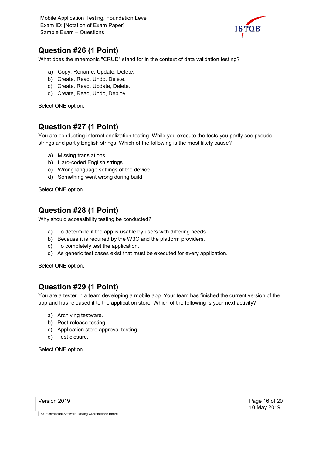![](_page_15_Picture_1.jpeg)

#### Question #26 (1 Point)

What does the mnemonic "CRUD" stand for in the context of data validation testing?

- a) Copy, Rename, Update, Delete.
- b) Create, Read, Undo, Delete.
- c) Create, Read, Update, Delete.
- d) Create, Read, Undo, Deploy.

Select ONE option.

#### Question #27 (1 Point)

You are conducting internationalization testing. While you execute the tests you partly see pseudostrings and partly English strings. Which of the following is the most likely cause?

- a) Missing translations.
- b) Hard-coded English strings.
- c) Wrong language settings of the device.
- d) Something went wrong during build.

Select ONE option.

#### Question #28 (1 Point)

Why should accessibility testing be conducted?

- a) To determine if the app is usable by users with differing needs.
- b) Because it is required by the W3C and the platform providers.
- c) To completely test the application.
- d) As generic test cases exist that must be executed for every application.

Select ONE option.

#### Question #29 (1 Point)

You are a tester in a team developing a mobile app. Your team has finished the current version of the app and has released it to the application store. Which of the following is your next activity?

- a) Archiving testware.
- b) Post-release testing.
- c) Application store approval testing.
- d) Test closure.

Select ONE option.

| Version 2019 |  |
|--------------|--|
|              |  |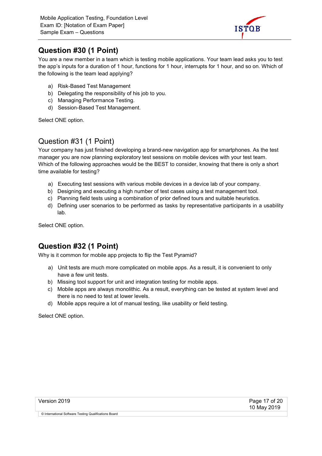![](_page_16_Picture_1.jpeg)

#### Question #30 (1 Point)

You are a new member in a team which is testing mobile applications. Your team lead asks you to test the app's inputs for a duration of 1 hour, functions for 1 hour, interrupts for 1 hour, and so on. Which of the following is the team lead applying?

- a) Risk-Based Test Management
- b) Delegating the responsibility of his job to you.
- c) Managing Performance Testing.
- d) Session-Based Test Management.

Select ONE option.

#### Question #31 (1 Point)

Your company has just finished developing a brand-new navigation app for smartphones. As the test manager you are now planning exploratory test sessions on mobile devices with your test team. Which of the following approaches would be the BEST to consider, knowing that there is only a short time available for testing?

- a) Executing test sessions with various mobile devices in a device lab of your company.
- b) Designing and executing a high number of test cases using a test management tool.
- c) Planning field tests using a combination of prior defined tours and suitable heuristics.
- d) Defining user scenarios to be performed as tasks by representative participants in a usability lab.

Select ONE option.

#### Question #32 (1 Point)

Why is it common for mobile app projects to flip the Test Pyramid?

- a) Unit tests are much more complicated on mobile apps. As a result, it is convenient to only have a few unit tests.
- b) Missing tool support for unit and integration testing for mobile apps.
- c) Mobile apps are always monolithic. As a result, everything can be tested at system level and there is no need to test at lower levels.
- d) Mobile apps require a lot of manual testing, like usability or field testing.

Select ONE option.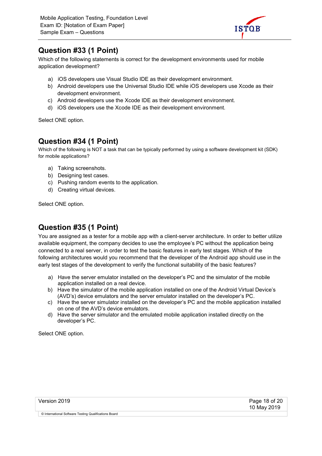![](_page_17_Picture_1.jpeg)

#### Question #33 (1 Point)

Which of the following statements is correct for the development environments used for mobile application development?

- a) iOS developers use Visual Studio IDE as their development environment.
- b) Android developers use the Universal Studio IDE while iOS developers use Xcode as their development environment.
- c) Android developers use the Xcode IDE as their development environment.
- d) iOS developers use the Xcode IDE as their development environment.

Select ONE option.

#### Question #34 (1 Point)

Which of the following is NOT a task that can be typically performed by using a software development kit (SDK) for mobile applications?

- a) Taking screenshots.
- b) Designing test cases.
- c) Pushing random events to the application.
- d) Creating virtual devices.

Select ONE option.

#### Question #35 (1 Point)

You are assigned as a tester for a mobile app with a client-server architecture. In order to better utilize available equipment, the company decides to use the employee's PC without the application being connected to a real server, in order to test the basic features in early test stages. Which of the following architectures would you recommend that the developer of the Android app should use in the early test stages of the development to verify the functional suitability of the basic features?

- a) Have the server emulator installed on the developer's PC and the simulator of the mobile application installed on a real device.
- b) Have the simulator of the mobile application installed on one of the Android Virtual Device's (AVD's) device emulators and the server emulator installed on the developer's PC.
- c) Have the server simulator installed on the developer's PC and the mobile application installed on one of the AVD's device emulators.
- d) Have the server simulator and the emulated mobile application installed directly on the developer's PC.

Select ONE option.

| Version 2019 |  |
|--------------|--|
|--------------|--|

Page 18 of 20 10 May 2019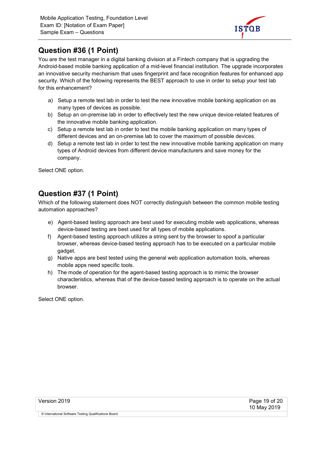![](_page_18_Picture_1.jpeg)

#### Question #36 (1 Point)

You are the test manager in a digital banking division at a Fintech company that is upgrading the Android-based mobile banking application of a mid-level financial institution. The upgrade incorporates an innovative security mechanism that uses fingerprint and face recognition features for enhanced app security. Which of the following represents the BEST approach to use in order to setup your test lab for this enhancement?

- a) Setup a remote test lab in order to test the new innovative mobile banking application on as many types of devices as possible.
- b) Setup an on-premise lab in order to effectively test the new unique device-related features of the innovative mobile banking application.
- c) Setup a remote test lab in order to test the mobile banking application on many types of different devices and an on-premise lab to cover the maximum of possible devices.
- d) Setup a remote test lab in order to test the new innovative mobile banking application on many types of Android devices from different device manufacturers and save money for the company.

Select ONE option.

#### Question #37 (1 Point)

Which of the following statement does NOT correctly distinguish between the common mobile testing automation approaches?

- e) Agent-based testing approach are best used for executing mobile web applications, whereas device-based testing are best used for all types of mobile applications.
- f) Agent-based testing approach utilizes a string sent by the browser to spoof a particular browser, whereas device-based testing approach has to be executed on a particular mobile gadget.
- g) Native apps are best tested using the general web application automation tools, whereas mobile apps need specific tools.
- h) The mode of operation for the agent-based testing approach is to mimic the browser characteristics, whereas that of the device-based testing approach is to operate on the actual browser.

Select ONE option.